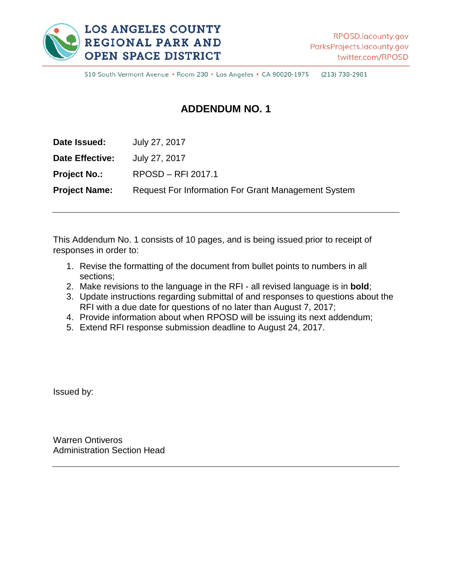

510 South Vermont Avenue · Room 230 · Los Angeles · CA 90020-1975 (213) 738-2981

### **ADDENDUM NO. 1**

| Date Issued:         | July 27, 2017                                              |
|----------------------|------------------------------------------------------------|
| Date Effective:      | July 27, 2017                                              |
| <b>Project No.:</b>  | RPOSD - RFI 2017.1                                         |
| <b>Project Name:</b> | <b>Request For Information For Grant Management System</b> |
|                      |                                                            |

This Addendum No. 1 consists of 10 pages, and is being issued prior to receipt of responses in order to:

- 1. Revise the formatting of the document from bullet points to numbers in all sections;
- 2. Make revisions to the language in the RFI all revised language is in **bold**;
- 3. Update instructions regarding submittal of and responses to questions about the RFI with a due date for questions of no later than August 7, 2017;
- 4. Provide information about when RPOSD will be issuing its next addendum;
- 5. Extend RFI response submission deadline to August 24, 2017.

Issued by:

Warren Ontiveros Administration Section Head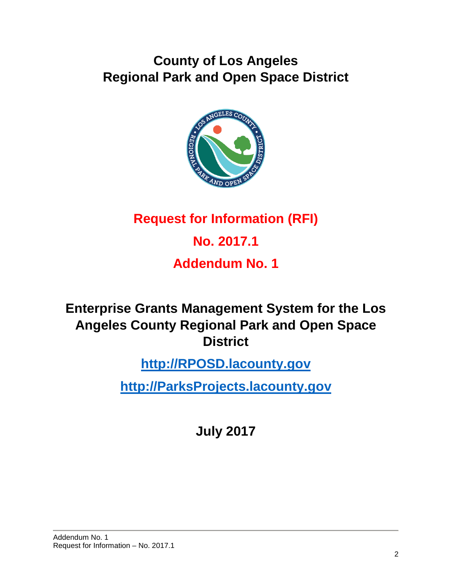## **County of Los Angeles Regional Park and Open Space District**



## **Request for Information (RFI)**

# **No. 2017.1**

## **Addendum No. 1**

### **Enterprise Grants Management System for the Los Angeles County Regional Park and Open Space District**

## **[http://RPOSD.lacounty.gov](http://rposd.lacounty.gov/)**

## **[http://ParksProjects.lacounty.gov](http://parksprojects.lacounty.gov/)**

**July 2017**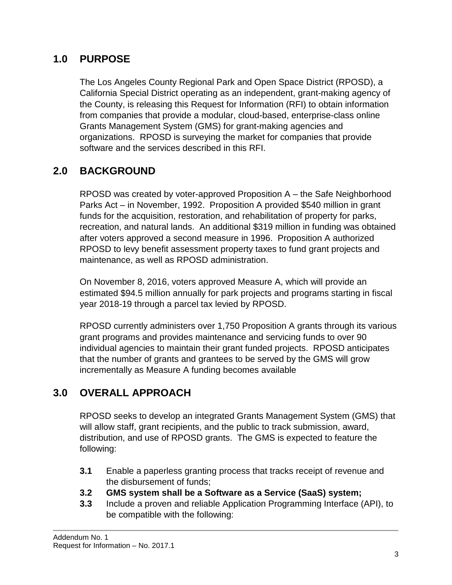#### **1.0 PURPOSE**

The Los Angeles County Regional Park and Open Space District (RPOSD), a California Special District operating as an independent, grant-making agency of the County, is releasing this Request for Information (RFI) to obtain information from companies that provide a modular, cloud-based, enterprise-class online Grants Management System (GMS) for grant-making agencies and organizations. RPOSD is surveying the market for companies that provide software and the services described in this RFI.

### **2.0 BACKGROUND**

RPOSD was created by voter-approved Proposition A – the Safe Neighborhood Parks Act – in November, 1992. Proposition A provided \$540 million in grant funds for the acquisition, restoration, and rehabilitation of property for parks, recreation, and natural lands. An additional \$319 million in funding was obtained after voters approved a second measure in 1996. Proposition A authorized RPOSD to levy benefit assessment property taxes to fund grant projects and maintenance, as well as RPOSD administration.

On November 8, 2016, voters approved Measure A, which will provide an estimated \$94.5 million annually for park projects and programs starting in fiscal year 2018-19 through a parcel tax levied by RPOSD.

RPOSD currently administers over 1,750 Proposition A grants through its various grant programs and provides maintenance and servicing funds to over 90 individual agencies to maintain their grant funded projects. RPOSD anticipates that the number of grants and grantees to be served by the GMS will grow incrementally as Measure A funding becomes available

### **3.0 OVERALL APPROACH**

RPOSD seeks to develop an integrated Grants Management System (GMS) that will allow staff, grant recipients, and the public to track submission, award, distribution, and use of RPOSD grants. The GMS is expected to feature the following:

- **3.1** Enable a paperless granting process that tracks receipt of revenue and the disbursement of funds;
- **3.2 GMS system shall be a Software as a Service (SaaS) system;**
- **3.3** Include a proven and reliable Application Programming Interface (API), to be compatible with the following: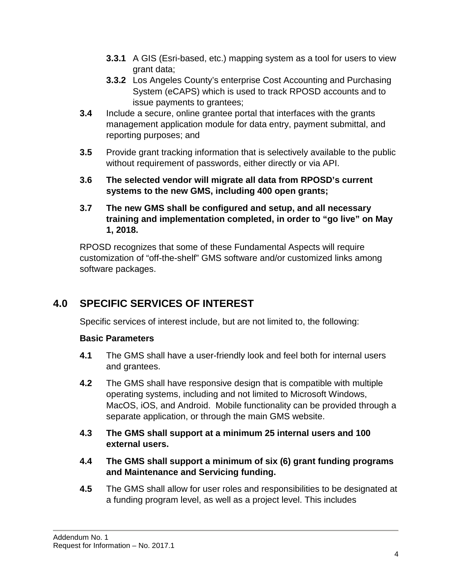- **3.3.1** A GIS (Esri-based, etc.) mapping system as a tool for users to view grant data;
- **3.3.2** Los Angeles County's enterprise Cost Accounting and Purchasing System (eCAPS) which is used to track RPOSD accounts and to issue payments to grantees;
- **3.4** Include a secure, online grantee portal that interfaces with the grants management application module for data entry, payment submittal, and reporting purposes; and
- **3.5** Provide grant tracking information that is selectively available to the public without requirement of passwords, either directly or via API.
- **3.6 The selected vendor will migrate all data from RPOSD's current systems to the new GMS, including 400 open grants;**
- **3.7 The new GMS shall be configured and setup, and all necessary training and implementation completed, in order to "go live" on May 1, 2018.**

RPOSD recognizes that some of these Fundamental Aspects will require customization of "off-the-shelf" GMS software and/or customized links among software packages.

### **4.0 SPECIFIC SERVICES OF INTEREST**

Specific services of interest include, but are not limited to, the following:

#### **Basic Parameters**

- **4.1** The GMS shall have a user-friendly look and feel both for internal users and grantees.
- **4.2** The GMS shall have responsive design that is compatible with multiple operating systems, including and not limited to Microsoft Windows, MacOS, iOS, and Android. Mobile functionality can be provided through a separate application, or through the main GMS website.
- **4.3 The GMS shall support at a minimum 25 internal users and 100 external users.**
- **4.4 The GMS shall support a minimum of six (6) grant funding programs and Maintenance and Servicing funding.**
- **4.5** The GMS shall allow for user roles and responsibilities to be designated at a funding program level, as well as a project level. This includes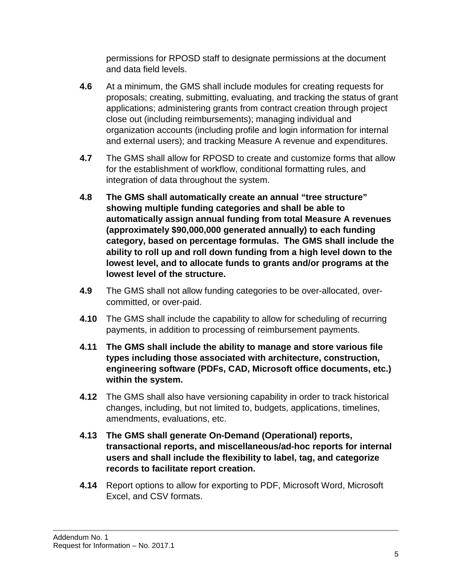permissions for RPOSD staff to designate permissions at the document and data field levels.

- **4.6** At a minimum, the GMS shall include modules for creating requests for proposals; creating, submitting, evaluating, and tracking the status of grant applications; administering grants from contract creation through project close out (including reimbursements); managing individual and organization accounts (including profile and login information for internal and external users); and tracking Measure A revenue and expenditures.
- **4.7** The GMS shall allow for RPOSD to create and customize forms that allow for the establishment of workflow, conditional formatting rules, and integration of data throughout the system.
- **4.8 The GMS shall automatically create an annual "tree structure" showing multiple funding categories and shall be able to automatically assign annual funding from total Measure A revenues (approximately \$90,000,000 generated annually) to each funding category, based on percentage formulas. The GMS shall include the ability to roll up and roll down funding from a high level down to the lowest level, and to allocate funds to grants and/or programs at the lowest level of the structure.**
- **4.9** The GMS shall not allow funding categories to be over-allocated, overcommitted, or over-paid.
- **4.10** The GMS shall include the capability to allow for scheduling of recurring payments, in addition to processing of reimbursement payments.
- **4.11 The GMS shall include the ability to manage and store various file types including those associated with architecture, construction, engineering software (PDFs, CAD, Microsoft office documents, etc.) within the system.**
- **4.12** The GMS shall also have versioning capability in order to track historical changes, including, but not limited to, budgets, applications, timelines, amendments, evaluations, etc.
- **4.13 The GMS shall generate On-Demand (Operational) reports, transactional reports, and miscellaneous/ad-hoc reports for internal users and shall include the flexibility to label, tag, and categorize records to facilitate report creation.**
- **4.14** Report options to allow for exporting to PDF, Microsoft Word, Microsoft Excel, and CSV formats.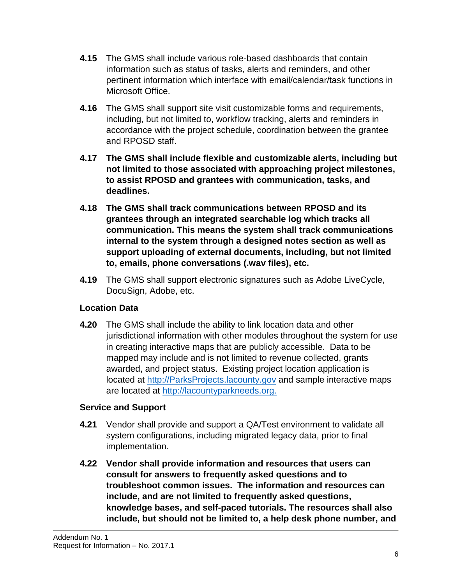- **4.15** The GMS shall include various role-based dashboards that contain information such as status of tasks, alerts and reminders, and other pertinent information which interface with email/calendar/task functions in Microsoft Office.
- **4.16** The GMS shall support site visit customizable forms and requirements, including, but not limited to, workflow tracking, alerts and reminders in accordance with the project schedule, coordination between the grantee and RPOSD staff.
- **4.17 The GMS shall include flexible and customizable alerts, including but not limited to those associated with approaching project milestones, to assist RPOSD and grantees with communication, tasks, and deadlines.**
- **4.18 The GMS shall track communications between RPOSD and its grantees through an integrated searchable log which tracks all communication. This means the system shall track communications internal to the system through a designed notes section as well as support uploading of external documents, including, but not limited to, emails, phone conversations (.wav files), etc.**
- **4.19** The GMS shall support electronic signatures such as Adobe LiveCycle, DocuSign, Adobe, etc.

#### **Location Data**

**4.20** The GMS shall include the ability to link location data and other jurisdictional information with other modules throughout the system for use in creating interactive maps that are publicly accessible. Data to be mapped may include and is not limited to revenue collected, grants awarded, and project status. Existing project location application is located at [http://ParksProjects.lacounty.gov](http://parksprojects.lacounty.gov/) and sample interactive maps are located at [http://lacountyparkneeds.org.](http://lacountyparkneeds.org/)

#### **Service and Support**

- **4.21** Vendor shall provide and support a QA/Test environment to validate all system configurations, including migrated legacy data, prior to final implementation.
- **4.22 Vendor shall provide information and resources that users can consult for answers to frequently asked questions and to troubleshoot common issues. The information and resources can include, and are not limited to frequently asked questions, knowledge bases, and self-paced tutorials. The resources shall also include, but should not be limited to, a help desk phone number, and**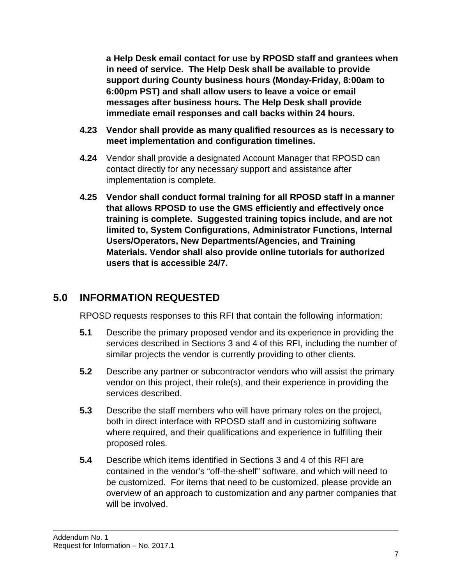**a Help Desk email contact for use by RPOSD staff and grantees when in need of service. The Help Desk shall be available to provide support during County business hours (Monday-Friday, 8:00am to 6:00pm PST) and shall allow users to leave a voice or email messages after business hours. The Help Desk shall provide immediate email responses and call backs within 24 hours.**

- **4.23 Vendor shall provide as many qualified resources as is necessary to meet implementation and configuration timelines.**
- **4.24** Vendor shall provide a designated Account Manager that RPOSD can contact directly for any necessary support and assistance after implementation is complete.
- **4.25 Vendor shall conduct formal training for all RPOSD staff in a manner that allows RPOSD to use the GMS efficiently and effectively once training is complete. Suggested training topics include, and are not limited to, System Configurations, Administrator Functions, Internal Users/Operators, New Departments/Agencies, and Training Materials. Vendor shall also provide online tutorials for authorized users that is accessible 24/7.**

#### **5.0 INFORMATION REQUESTED**

RPOSD requests responses to this RFI that contain the following information:

- **5.1** Describe the primary proposed vendor and its experience in providing the services described in Sections 3 and 4 of this RFI, including the number of similar projects the vendor is currently providing to other clients.
- **5.2** Describe any partner or subcontractor vendors who will assist the primary vendor on this project, their role(s), and their experience in providing the services described.
- **5.3** Describe the staff members who will have primary roles on the project, both in direct interface with RPOSD staff and in customizing software where required, and their qualifications and experience in fulfilling their proposed roles.
- **5.4** Describe which items identified in Sections 3 and 4 of this RFI are contained in the vendor's "off-the-shelf" software, and which will need to be customized. For items that need to be customized, please provide an overview of an approach to customization and any partner companies that will be involved.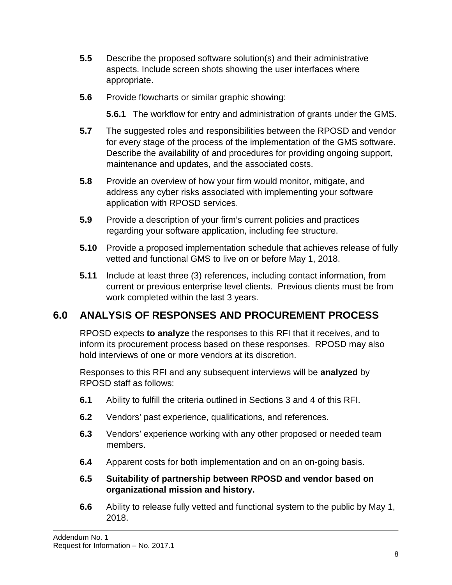- **5.5** Describe the proposed software solution(s) and their administrative aspects. Include screen shots showing the user interfaces where appropriate.
- **5.6** Provide flowcharts or similar graphic showing:

**5.6.1** The workflow for entry and administration of grants under the GMS.

- **5.7** The suggested roles and responsibilities between the RPOSD and vendor for every stage of the process of the implementation of the GMS software. Describe the availability of and procedures for providing ongoing support, maintenance and updates, and the associated costs.
- **5.8** Provide an overview of how your firm would monitor, mitigate, and address any cyber risks associated with implementing your software application with RPOSD services.
- **5.9** Provide a description of your firm's current policies and practices regarding your software application, including fee structure.
- **5.10** Provide a proposed implementation schedule that achieves release of fully vetted and functional GMS to live on or before May 1, 2018.
- **5.11** Include at least three (3) references, including contact information, from current or previous enterprise level clients. Previous clients must be from work completed within the last 3 years.

### **6.0 ANALYSIS OF RESPONSES AND PROCUREMENT PROCESS**

RPOSD expects **to analyze** the responses to this RFI that it receives, and to inform its procurement process based on these responses. RPOSD may also hold interviews of one or more vendors at its discretion.

Responses to this RFI and any subsequent interviews will be **analyzed** by RPOSD staff as follows:

- **6.1** Ability to fulfill the criteria outlined in Sections 3 and 4 of this RFI.
- **6.2** Vendors' past experience, qualifications, and references.
- **6.3** Vendors' experience working with any other proposed or needed team members.
- **6.4** Apparent costs for both implementation and on an on-going basis.
- **6.5 Suitability of partnership between RPOSD and vendor based on organizational mission and history.**
- **6.6** Ability to release fully vetted and functional system to the public by May 1, 2018.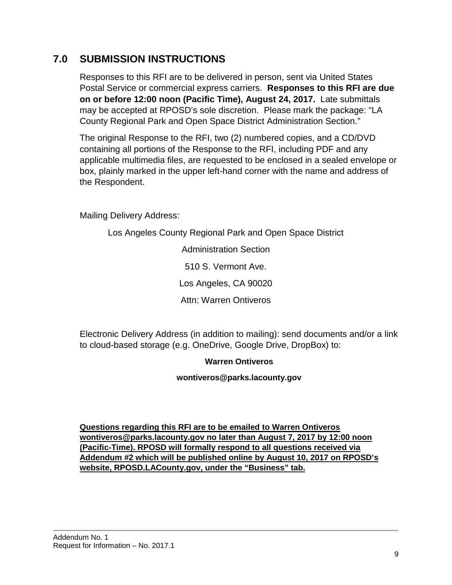#### **7.0 SUBMISSION INSTRUCTIONS**

Responses to this RFI are to be delivered in person, sent via United States Postal Service or commercial express carriers. **Responses to this RFI are due on or before 12:00 noon (Pacific Time), August 24, 2017.** Late submittals may be accepted at RPOSD's sole discretion. Please mark the package: "LA County Regional Park and Open Space District Administration Section."

The original Response to the RFI, two (2) numbered copies, and a CD/DVD containing all portions of the Response to the RFI, including PDF and any applicable multimedia files, are requested to be enclosed in a sealed envelope or box, plainly marked in the upper left-hand corner with the name and address of the Respondent.

Mailing Delivery Address:

Los Angeles County Regional Park and Open Space District

Administration Section 510 S. Vermont Ave. Los Angeles, CA 90020 Attn: Warren Ontiveros

Electronic Delivery Address (in addition to mailing): send documents and/or a link to cloud-based storage (e.g. OneDrive, Google Drive, DropBox) to:

#### **Warren Ontiveros**

**wontiveros@parks.lacounty.gov**

**Questions regarding this RFI are to be emailed to Warren Ontiveros wontiveros@parks.lacounty.gov no later than August 7, 2017 by 12:00 noon (Pacific-Time). RPOSD will formally respond to all questions received via Addendum #2 which will be published online by August 10, 2017 on RPOSD's website, RPOSD.LACounty.gov, under the "Business" tab.**